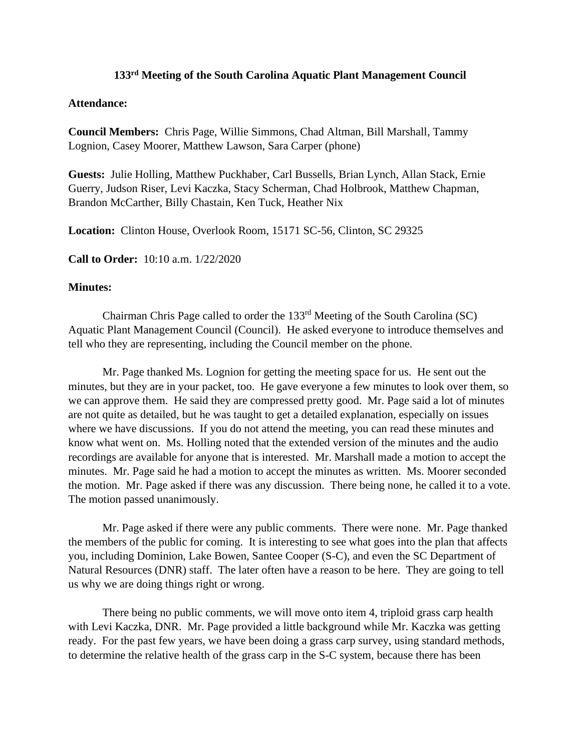## **133 rd Meeting of the South Carolina Aquatic Plant Management Council**

## **Attendance:**

**Council Members:** Chris Page, Willie Simmons, Chad Altman, Bill Marshall, Tammy Lognion, Casey Moorer, Matthew Lawson, Sara Carper (phone)

**Guests:** Julie Holling, Matthew Puckhaber, Carl Bussells, Brian Lynch, Allan Stack, Ernie Guerry, Judson Riser, Levi Kaczka, Stacy Scherman, Chad Holbrook, Matthew Chapman, Brandon McCarther, Billy Chastain, Ken Tuck, Heather Nix

**Location:** Clinton House, Overlook Room, 15171 SC-56, Clinton, SC 29325

**Call to Order:** 10:10 a.m. 1/22/2020

## **Minutes:**

Chairman Chris Page called to order the 133<sup>rd</sup> Meeting of the South Carolina (SC) Aquatic Plant Management Council (Council). He asked everyone to introduce themselves and tell who they are representing, including the Council member on the phone.

Mr. Page thanked Ms. Lognion for getting the meeting space for us. He sent out the minutes, but they are in your packet, too. He gave everyone a few minutes to look over them, so we can approve them. He said they are compressed pretty good. Mr. Page said a lot of minutes are not quite as detailed, but he was taught to get a detailed explanation, especially on issues where we have discussions. If you do not attend the meeting, you can read these minutes and know what went on. Ms. Holling noted that the extended version of the minutes and the audio recordings are available for anyone that is interested. Mr. Marshall made a motion to accept the minutes. Mr. Page said he had a motion to accept the minutes as written. Ms. Moorer seconded the motion. Mr. Page asked if there was any discussion. There being none, he called it to a vote. The motion passed unanimously.

Mr. Page asked if there were any public comments. There were none. Mr. Page thanked the members of the public for coming. It is interesting to see what goes into the plan that affects you, including Dominion, Lake Bowen, Santee Cooper (S-C), and even the SC Department of Natural Resources (DNR) staff. The later often have a reason to be here. They are going to tell us why we are doing things right or wrong.

There being no public comments, we will move onto item 4, triploid grass carp health with Levi Kaczka, DNR. Mr. Page provided a little background while Mr. Kaczka was getting ready. For the past few years, we have been doing a grass carp survey, using standard methods, to determine the relative health of the grass carp in the S-C system, because there has been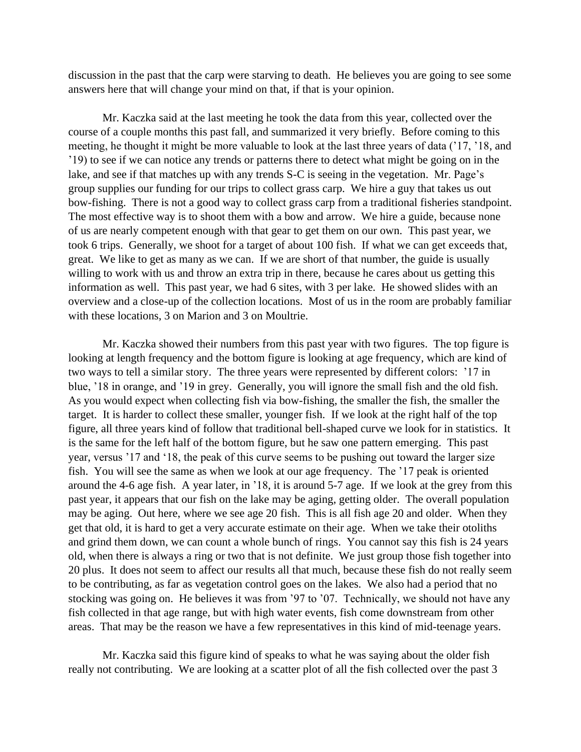discussion in the past that the carp were starving to death. He believes you are going to see some answers here that will change your mind on that, if that is your opinion.

Mr. Kaczka said at the last meeting he took the data from this year, collected over the course of a couple months this past fall, and summarized it very briefly. Before coming to this meeting, he thought it might be more valuable to look at the last three years of data ('17, '18, and '19) to see if we can notice any trends or patterns there to detect what might be going on in the lake, and see if that matches up with any trends S-C is seeing in the vegetation. Mr. Page's group supplies our funding for our trips to collect grass carp. We hire a guy that takes us out bow-fishing. There is not a good way to collect grass carp from a traditional fisheries standpoint. The most effective way is to shoot them with a bow and arrow. We hire a guide, because none of us are nearly competent enough with that gear to get them on our own. This past year, we took 6 trips. Generally, we shoot for a target of about 100 fish. If what we can get exceeds that, great. We like to get as many as we can. If we are short of that number, the guide is usually willing to work with us and throw an extra trip in there, because he cares about us getting this information as well. This past year, we had 6 sites, with 3 per lake. He showed slides with an overview and a close-up of the collection locations. Most of us in the room are probably familiar with these locations, 3 on Marion and 3 on Moultrie.

Mr. Kaczka showed their numbers from this past year with two figures. The top figure is looking at length frequency and the bottom figure is looking at age frequency, which are kind of two ways to tell a similar story. The three years were represented by different colors: '17 in blue, '18 in orange, and '19 in grey. Generally, you will ignore the small fish and the old fish. As you would expect when collecting fish via bow-fishing, the smaller the fish, the smaller the target. It is harder to collect these smaller, younger fish. If we look at the right half of the top figure, all three years kind of follow that traditional bell-shaped curve we look for in statistics. It is the same for the left half of the bottom figure, but he saw one pattern emerging. This past year, versus '17 and '18, the peak of this curve seems to be pushing out toward the larger size fish. You will see the same as when we look at our age frequency. The '17 peak is oriented around the 4-6 age fish. A year later, in '18, it is around 5-7 age. If we look at the grey from this past year, it appears that our fish on the lake may be aging, getting older. The overall population may be aging. Out here, where we see age 20 fish. This is all fish age 20 and older. When they get that old, it is hard to get a very accurate estimate on their age. When we take their otoliths and grind them down, we can count a whole bunch of rings. You cannot say this fish is 24 years old, when there is always a ring or two that is not definite. We just group those fish together into 20 plus. It does not seem to affect our results all that much, because these fish do not really seem to be contributing, as far as vegetation control goes on the lakes. We also had a period that no stocking was going on. He believes it was from '97 to '07. Technically, we should not have any fish collected in that age range, but with high water events, fish come downstream from other areas. That may be the reason we have a few representatives in this kind of mid-teenage years.

Mr. Kaczka said this figure kind of speaks to what he was saying about the older fish really not contributing. We are looking at a scatter plot of all the fish collected over the past 3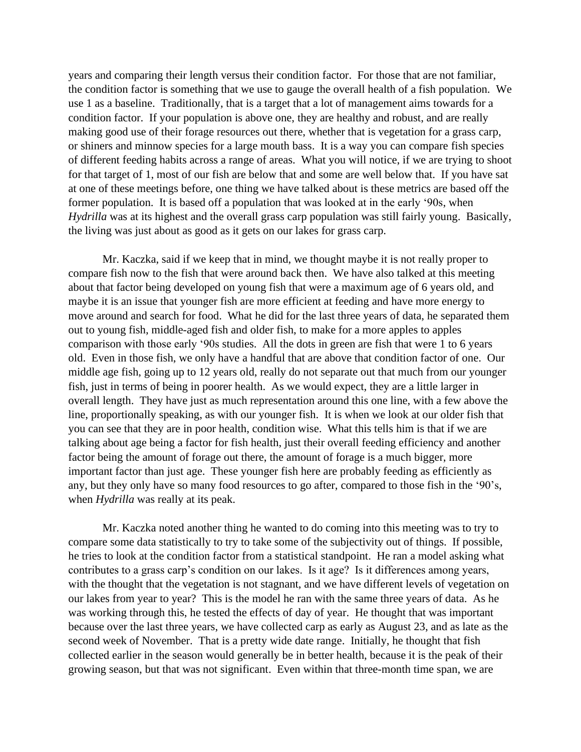years and comparing their length versus their condition factor. For those that are not familiar, the condition factor is something that we use to gauge the overall health of a fish population. We use 1 as a baseline. Traditionally, that is a target that a lot of management aims towards for a condition factor. If your population is above one, they are healthy and robust, and are really making good use of their forage resources out there, whether that is vegetation for a grass carp, or shiners and minnow species for a large mouth bass. It is a way you can compare fish species of different feeding habits across a range of areas. What you will notice, if we are trying to shoot for that target of 1, most of our fish are below that and some are well below that. If you have sat at one of these meetings before, one thing we have talked about is these metrics are based off the former population. It is based off a population that was looked at in the early '90s, when *Hydrilla* was at its highest and the overall grass carp population was still fairly young. Basically, the living was just about as good as it gets on our lakes for grass carp.

Mr. Kaczka, said if we keep that in mind, we thought maybe it is not really proper to compare fish now to the fish that were around back then. We have also talked at this meeting about that factor being developed on young fish that were a maximum age of 6 years old, and maybe it is an issue that younger fish are more efficient at feeding and have more energy to move around and search for food. What he did for the last three years of data, he separated them out to young fish, middle-aged fish and older fish, to make for a more apples to apples comparison with those early '90s studies. All the dots in green are fish that were 1 to 6 years old. Even in those fish, we only have a handful that are above that condition factor of one. Our middle age fish, going up to 12 years old, really do not separate out that much from our younger fish, just in terms of being in poorer health. As we would expect, they are a little larger in overall length. They have just as much representation around this one line, with a few above the line, proportionally speaking, as with our younger fish. It is when we look at our older fish that you can see that they are in poor health, condition wise. What this tells him is that if we are talking about age being a factor for fish health, just their overall feeding efficiency and another factor being the amount of forage out there, the amount of forage is a much bigger, more important factor than just age. These younger fish here are probably feeding as efficiently as any, but they only have so many food resources to go after, compared to those fish in the '90's, when *Hydrilla* was really at its peak.

Mr. Kaczka noted another thing he wanted to do coming into this meeting was to try to compare some data statistically to try to take some of the subjectivity out of things. If possible, he tries to look at the condition factor from a statistical standpoint. He ran a model asking what contributes to a grass carp's condition on our lakes. Is it age? Is it differences among years, with the thought that the vegetation is not stagnant, and we have different levels of vegetation on our lakes from year to year? This is the model he ran with the same three years of data. As he was working through this, he tested the effects of day of year. He thought that was important because over the last three years, we have collected carp as early as August 23, and as late as the second week of November. That is a pretty wide date range. Initially, he thought that fish collected earlier in the season would generally be in better health, because it is the peak of their growing season, but that was not significant. Even within that three-month time span, we are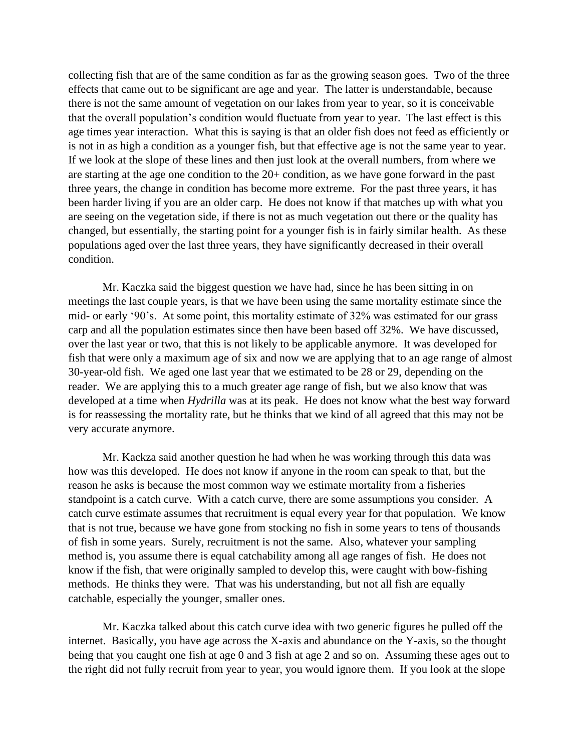collecting fish that are of the same condition as far as the growing season goes. Two of the three effects that came out to be significant are age and year. The latter is understandable, because there is not the same amount of vegetation on our lakes from year to year, so it is conceivable that the overall population's condition would fluctuate from year to year. The last effect is this age times year interaction. What this is saying is that an older fish does not feed as efficiently or is not in as high a condition as a younger fish, but that effective age is not the same year to year. If we look at the slope of these lines and then just look at the overall numbers, from where we are starting at the age one condition to the 20+ condition, as we have gone forward in the past three years, the change in condition has become more extreme. For the past three years, it has been harder living if you are an older carp. He does not know if that matches up with what you are seeing on the vegetation side, if there is not as much vegetation out there or the quality has changed, but essentially, the starting point for a younger fish is in fairly similar health. As these populations aged over the last three years, they have significantly decreased in their overall condition.

Mr. Kaczka said the biggest question we have had, since he has been sitting in on meetings the last couple years, is that we have been using the same mortality estimate since the mid- or early '90's. At some point, this mortality estimate of 32% was estimated for our grass carp and all the population estimates since then have been based off 32%. We have discussed, over the last year or two, that this is not likely to be applicable anymore. It was developed for fish that were only a maximum age of six and now we are applying that to an age range of almost 30-year-old fish. We aged one last year that we estimated to be 28 or 29, depending on the reader. We are applying this to a much greater age range of fish, but we also know that was developed at a time when *Hydrilla* was at its peak. He does not know what the best way forward is for reassessing the mortality rate, but he thinks that we kind of all agreed that this may not be very accurate anymore.

Mr. Kackza said another question he had when he was working through this data was how was this developed. He does not know if anyone in the room can speak to that, but the reason he asks is because the most common way we estimate mortality from a fisheries standpoint is a catch curve. With a catch curve, there are some assumptions you consider. A catch curve estimate assumes that recruitment is equal every year for that population. We know that is not true, because we have gone from stocking no fish in some years to tens of thousands of fish in some years. Surely, recruitment is not the same. Also, whatever your sampling method is, you assume there is equal catchability among all age ranges of fish. He does not know if the fish, that were originally sampled to develop this, were caught with bow-fishing methods. He thinks they were. That was his understanding, but not all fish are equally catchable, especially the younger, smaller ones.

Mr. Kaczka talked about this catch curve idea with two generic figures he pulled off the internet. Basically, you have age across the X-axis and abundance on the Y-axis, so the thought being that you caught one fish at age 0 and 3 fish at age 2 and so on. Assuming these ages out to the right did not fully recruit from year to year, you would ignore them. If you look at the slope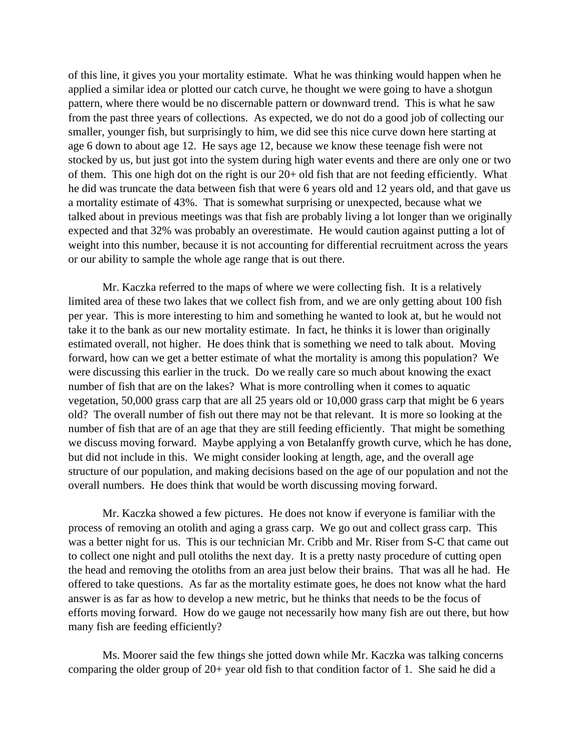of this line, it gives you your mortality estimate. What he was thinking would happen when he applied a similar idea or plotted our catch curve, he thought we were going to have a shotgun pattern, where there would be no discernable pattern or downward trend. This is what he saw from the past three years of collections. As expected, we do not do a good job of collecting our smaller, younger fish, but surprisingly to him, we did see this nice curve down here starting at age 6 down to about age 12. He says age 12, because we know these teenage fish were not stocked by us, but just got into the system during high water events and there are only one or two of them. This one high dot on the right is our 20+ old fish that are not feeding efficiently. What he did was truncate the data between fish that were 6 years old and 12 years old, and that gave us a mortality estimate of 43%. That is somewhat surprising or unexpected, because what we talked about in previous meetings was that fish are probably living a lot longer than we originally expected and that 32% was probably an overestimate. He would caution against putting a lot of weight into this number, because it is not accounting for differential recruitment across the years or our ability to sample the whole age range that is out there.

Mr. Kaczka referred to the maps of where we were collecting fish. It is a relatively limited area of these two lakes that we collect fish from, and we are only getting about 100 fish per year. This is more interesting to him and something he wanted to look at, but he would not take it to the bank as our new mortality estimate. In fact, he thinks it is lower than originally estimated overall, not higher. He does think that is something we need to talk about. Moving forward, how can we get a better estimate of what the mortality is among this population? We were discussing this earlier in the truck. Do we really care so much about knowing the exact number of fish that are on the lakes? What is more controlling when it comes to aquatic vegetation, 50,000 grass carp that are all 25 years old or 10,000 grass carp that might be 6 years old? The overall number of fish out there may not be that relevant. It is more so looking at the number of fish that are of an age that they are still feeding efficiently. That might be something we discuss moving forward. Maybe applying a von Betalanffy growth curve, which he has done, but did not include in this. We might consider looking at length, age, and the overall age structure of our population, and making decisions based on the age of our population and not the overall numbers. He does think that would be worth discussing moving forward.

Mr. Kaczka showed a few pictures. He does not know if everyone is familiar with the process of removing an otolith and aging a grass carp. We go out and collect grass carp. This was a better night for us. This is our technician Mr. Cribb and Mr. Riser from S-C that came out to collect one night and pull otoliths the next day. It is a pretty nasty procedure of cutting open the head and removing the otoliths from an area just below their brains. That was all he had. He offered to take questions. As far as the mortality estimate goes, he does not know what the hard answer is as far as how to develop a new metric, but he thinks that needs to be the focus of efforts moving forward. How do we gauge not necessarily how many fish are out there, but how many fish are feeding efficiently?

Ms. Moorer said the few things she jotted down while Mr. Kaczka was talking concerns comparing the older group of 20+ year old fish to that condition factor of 1. She said he did a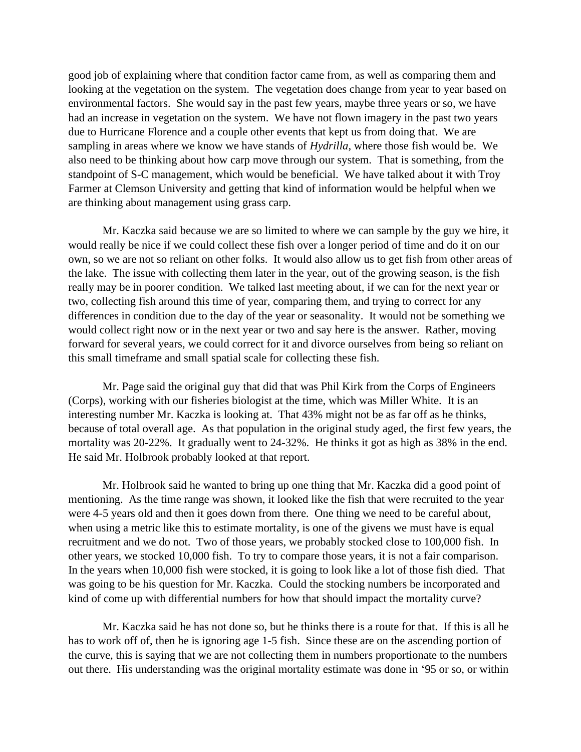good job of explaining where that condition factor came from, as well as comparing them and looking at the vegetation on the system. The vegetation does change from year to year based on environmental factors. She would say in the past few years, maybe three years or so, we have had an increase in vegetation on the system. We have not flown imagery in the past two years due to Hurricane Florence and a couple other events that kept us from doing that. We are sampling in areas where we know we have stands of *Hydrilla*, where those fish would be. We also need to be thinking about how carp move through our system. That is something, from the standpoint of S-C management, which would be beneficial. We have talked about it with Troy Farmer at Clemson University and getting that kind of information would be helpful when we are thinking about management using grass carp.

Mr. Kaczka said because we are so limited to where we can sample by the guy we hire, it would really be nice if we could collect these fish over a longer period of time and do it on our own, so we are not so reliant on other folks. It would also allow us to get fish from other areas of the lake. The issue with collecting them later in the year, out of the growing season, is the fish really may be in poorer condition. We talked last meeting about, if we can for the next year or two, collecting fish around this time of year, comparing them, and trying to correct for any differences in condition due to the day of the year or seasonality. It would not be something we would collect right now or in the next year or two and say here is the answer. Rather, moving forward for several years, we could correct for it and divorce ourselves from being so reliant on this small timeframe and small spatial scale for collecting these fish.

Mr. Page said the original guy that did that was Phil Kirk from the Corps of Engineers (Corps), working with our fisheries biologist at the time, which was Miller White. It is an interesting number Mr. Kaczka is looking at. That 43% might not be as far off as he thinks, because of total overall age. As that population in the original study aged, the first few years, the mortality was 20-22%. It gradually went to 24-32%. He thinks it got as high as 38% in the end. He said Mr. Holbrook probably looked at that report.

Mr. Holbrook said he wanted to bring up one thing that Mr. Kaczka did a good point of mentioning. As the time range was shown, it looked like the fish that were recruited to the year were 4-5 years old and then it goes down from there. One thing we need to be careful about, when using a metric like this to estimate mortality, is one of the givens we must have is equal recruitment and we do not. Two of those years, we probably stocked close to 100,000 fish. In other years, we stocked 10,000 fish. To try to compare those years, it is not a fair comparison. In the years when 10,000 fish were stocked, it is going to look like a lot of those fish died. That was going to be his question for Mr. Kaczka. Could the stocking numbers be incorporated and kind of come up with differential numbers for how that should impact the mortality curve?

Mr. Kaczka said he has not done so, but he thinks there is a route for that. If this is all he has to work off of, then he is ignoring age 1-5 fish. Since these are on the ascending portion of the curve, this is saying that we are not collecting them in numbers proportionate to the numbers out there. His understanding was the original mortality estimate was done in '95 or so, or within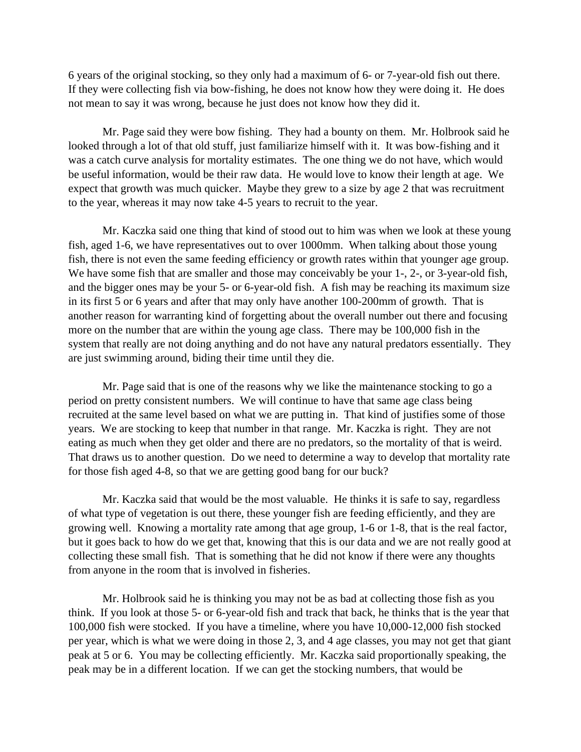6 years of the original stocking, so they only had a maximum of 6- or 7-year-old fish out there. If they were collecting fish via bow-fishing, he does not know how they were doing it. He does not mean to say it was wrong, because he just does not know how they did it.

Mr. Page said they were bow fishing. They had a bounty on them. Mr. Holbrook said he looked through a lot of that old stuff, just familiarize himself with it. It was bow-fishing and it was a catch curve analysis for mortality estimates. The one thing we do not have, which would be useful information, would be their raw data. He would love to know their length at age. We expect that growth was much quicker. Maybe they grew to a size by age 2 that was recruitment to the year, whereas it may now take 4-5 years to recruit to the year.

Mr. Kaczka said one thing that kind of stood out to him was when we look at these young fish, aged 1-6, we have representatives out to over 1000mm. When talking about those young fish, there is not even the same feeding efficiency or growth rates within that younger age group. We have some fish that are smaller and those may conceivably be your 1-, 2-, or 3-year-old fish, and the bigger ones may be your 5- or 6-year-old fish. A fish may be reaching its maximum size in its first 5 or 6 years and after that may only have another 100-200mm of growth. That is another reason for warranting kind of forgetting about the overall number out there and focusing more on the number that are within the young age class. There may be 100,000 fish in the system that really are not doing anything and do not have any natural predators essentially. They are just swimming around, biding their time until they die.

Mr. Page said that is one of the reasons why we like the maintenance stocking to go a period on pretty consistent numbers. We will continue to have that same age class being recruited at the same level based on what we are putting in. That kind of justifies some of those years. We are stocking to keep that number in that range. Mr. Kaczka is right. They are not eating as much when they get older and there are no predators, so the mortality of that is weird. That draws us to another question. Do we need to determine a way to develop that mortality rate for those fish aged 4-8, so that we are getting good bang for our buck?

Mr. Kaczka said that would be the most valuable. He thinks it is safe to say, regardless of what type of vegetation is out there, these younger fish are feeding efficiently, and they are growing well. Knowing a mortality rate among that age group, 1-6 or 1-8, that is the real factor, but it goes back to how do we get that, knowing that this is our data and we are not really good at collecting these small fish. That is something that he did not know if there were any thoughts from anyone in the room that is involved in fisheries.

Mr. Holbrook said he is thinking you may not be as bad at collecting those fish as you think. If you look at those 5- or 6-year-old fish and track that back, he thinks that is the year that 100,000 fish were stocked. If you have a timeline, where you have 10,000-12,000 fish stocked per year, which is what we were doing in those 2, 3, and 4 age classes, you may not get that giant peak at 5 or 6. You may be collecting efficiently. Mr. Kaczka said proportionally speaking, the peak may be in a different location. If we can get the stocking numbers, that would be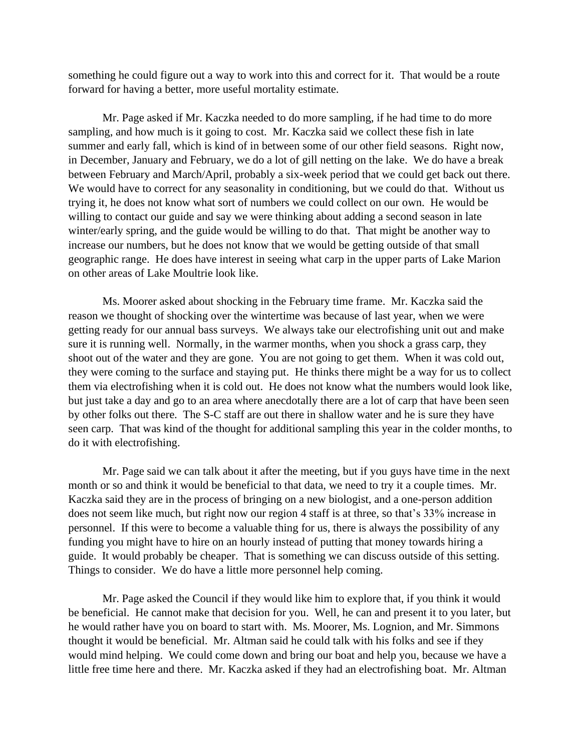something he could figure out a way to work into this and correct for it. That would be a route forward for having a better, more useful mortality estimate.

Mr. Page asked if Mr. Kaczka needed to do more sampling, if he had time to do more sampling, and how much is it going to cost. Mr. Kaczka said we collect these fish in late summer and early fall, which is kind of in between some of our other field seasons. Right now, in December, January and February, we do a lot of gill netting on the lake. We do have a break between February and March/April, probably a six-week period that we could get back out there. We would have to correct for any seasonality in conditioning, but we could do that. Without us trying it, he does not know what sort of numbers we could collect on our own. He would be willing to contact our guide and say we were thinking about adding a second season in late winter/early spring, and the guide would be willing to do that. That might be another way to increase our numbers, but he does not know that we would be getting outside of that small geographic range. He does have interest in seeing what carp in the upper parts of Lake Marion on other areas of Lake Moultrie look like.

Ms. Moorer asked about shocking in the February time frame. Mr. Kaczka said the reason we thought of shocking over the wintertime was because of last year, when we were getting ready for our annual bass surveys. We always take our electrofishing unit out and make sure it is running well. Normally, in the warmer months, when you shock a grass carp, they shoot out of the water and they are gone. You are not going to get them. When it was cold out, they were coming to the surface and staying put. He thinks there might be a way for us to collect them via electrofishing when it is cold out. He does not know what the numbers would look like, but just take a day and go to an area where anecdotally there are a lot of carp that have been seen by other folks out there. The S-C staff are out there in shallow water and he is sure they have seen carp. That was kind of the thought for additional sampling this year in the colder months, to do it with electrofishing.

Mr. Page said we can talk about it after the meeting, but if you guys have time in the next month or so and think it would be beneficial to that data, we need to try it a couple times. Mr. Kaczka said they are in the process of bringing on a new biologist, and a one-person addition does not seem like much, but right now our region 4 staff is at three, so that's 33% increase in personnel. If this were to become a valuable thing for us, there is always the possibility of any funding you might have to hire on an hourly instead of putting that money towards hiring a guide. It would probably be cheaper. That is something we can discuss outside of this setting. Things to consider. We do have a little more personnel help coming.

Mr. Page asked the Council if they would like him to explore that, if you think it would be beneficial. He cannot make that decision for you. Well, he can and present it to you later, but he would rather have you on board to start with. Ms. Moorer, Ms. Lognion, and Mr. Simmons thought it would be beneficial. Mr. Altman said he could talk with his folks and see if they would mind helping. We could come down and bring our boat and help you, because we have a little free time here and there. Mr. Kaczka asked if they had an electrofishing boat. Mr. Altman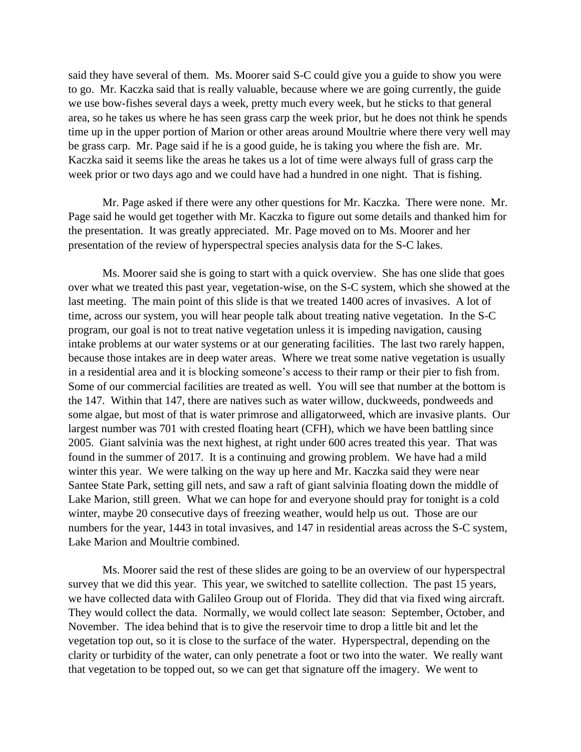said they have several of them. Ms. Moorer said S-C could give you a guide to show you were to go. Mr. Kaczka said that is really valuable, because where we are going currently, the guide we use bow-fishes several days a week, pretty much every week, but he sticks to that general area, so he takes us where he has seen grass carp the week prior, but he does not think he spends time up in the upper portion of Marion or other areas around Moultrie where there very well may be grass carp. Mr. Page said if he is a good guide, he is taking you where the fish are. Mr. Kaczka said it seems like the areas he takes us a lot of time were always full of grass carp the week prior or two days ago and we could have had a hundred in one night. That is fishing.

Mr. Page asked if there were any other questions for Mr. Kaczka. There were none. Mr. Page said he would get together with Mr. Kaczka to figure out some details and thanked him for the presentation. It was greatly appreciated. Mr. Page moved on to Ms. Moorer and her presentation of the review of hyperspectral species analysis data for the S-C lakes.

Ms. Moorer said she is going to start with a quick overview. She has one slide that goes over what we treated this past year, vegetation-wise, on the S-C system, which she showed at the last meeting. The main point of this slide is that we treated 1400 acres of invasives. A lot of time, across our system, you will hear people talk about treating native vegetation. In the S-C program, our goal is not to treat native vegetation unless it is impeding navigation, causing intake problems at our water systems or at our generating facilities. The last two rarely happen, because those intakes are in deep water areas. Where we treat some native vegetation is usually in a residential area and it is blocking someone's access to their ramp or their pier to fish from. Some of our commercial facilities are treated as well. You will see that number at the bottom is the 147. Within that 147, there are natives such as water willow, duckweeds, pondweeds and some algae, but most of that is water primrose and alligatorweed, which are invasive plants. Our largest number was 701 with crested floating heart (CFH), which we have been battling since 2005. Giant salvinia was the next highest, at right under 600 acres treated this year. That was found in the summer of 2017. It is a continuing and growing problem. We have had a mild winter this year. We were talking on the way up here and Mr. Kaczka said they were near Santee State Park, setting gill nets, and saw a raft of giant salvinia floating down the middle of Lake Marion, still green. What we can hope for and everyone should pray for tonight is a cold winter, maybe 20 consecutive days of freezing weather, would help us out. Those are our numbers for the year, 1443 in total invasives, and 147 in residential areas across the S-C system, Lake Marion and Moultrie combined.

Ms. Moorer said the rest of these slides are going to be an overview of our hyperspectral survey that we did this year. This year, we switched to satellite collection. The past 15 years, we have collected data with Galileo Group out of Florida. They did that via fixed wing aircraft. They would collect the data. Normally, we would collect late season: September, October, and November. The idea behind that is to give the reservoir time to drop a little bit and let the vegetation top out, so it is close to the surface of the water. Hyperspectral, depending on the clarity or turbidity of the water, can only penetrate a foot or two into the water. We really want that vegetation to be topped out, so we can get that signature off the imagery. We went to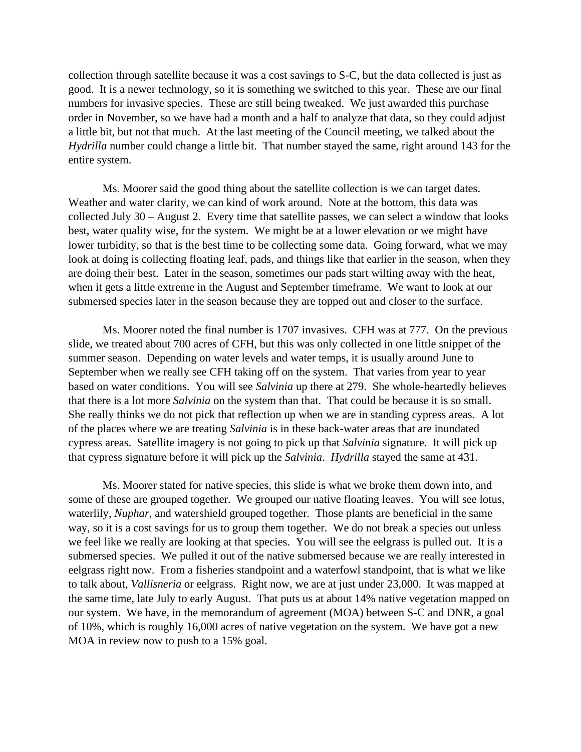collection through satellite because it was a cost savings to S-C, but the data collected is just as good. It is a newer technology, so it is something we switched to this year. These are our final numbers for invasive species. These are still being tweaked. We just awarded this purchase order in November, so we have had a month and a half to analyze that data, so they could adjust a little bit, but not that much. At the last meeting of the Council meeting, we talked about the *Hydrilla* number could change a little bit. That number stayed the same, right around 143 for the entire system.

Ms. Moorer said the good thing about the satellite collection is we can target dates. Weather and water clarity, we can kind of work around. Note at the bottom, this data was collected July 30 – August 2. Every time that satellite passes, we can select a window that looks best, water quality wise, for the system. We might be at a lower elevation or we might have lower turbidity, so that is the best time to be collecting some data. Going forward, what we may look at doing is collecting floating leaf, pads, and things like that earlier in the season, when they are doing their best. Later in the season, sometimes our pads start wilting away with the heat, when it gets a little extreme in the August and September timeframe. We want to look at our submersed species later in the season because they are topped out and closer to the surface.

Ms. Moorer noted the final number is 1707 invasives. CFH was at 777. On the previous slide, we treated about 700 acres of CFH, but this was only collected in one little snippet of the summer season. Depending on water levels and water temps, it is usually around June to September when we really see CFH taking off on the system. That varies from year to year based on water conditions. You will see *Salvinia* up there at 279. She whole-heartedly believes that there is a lot more *Salvinia* on the system than that. That could be because it is so small. She really thinks we do not pick that reflection up when we are in standing cypress areas. A lot of the places where we are treating *Salvinia* is in these back-water areas that are inundated cypress areas. Satellite imagery is not going to pick up that *Salvinia* signature. It will pick up that cypress signature before it will pick up the *Salvinia*. *Hydrilla* stayed the same at 431.

Ms. Moorer stated for native species, this slide is what we broke them down into, and some of these are grouped together. We grouped our native floating leaves. You will see lotus, waterlily, *Nuphar*, and watershield grouped together. Those plants are beneficial in the same way, so it is a cost savings for us to group them together. We do not break a species out unless we feel like we really are looking at that species. You will see the eelgrass is pulled out. It is a submersed species. We pulled it out of the native submersed because we are really interested in eelgrass right now. From a fisheries standpoint and a waterfowl standpoint, that is what we like to talk about, *Vallisneria* or eelgrass. Right now, we are at just under 23,000. It was mapped at the same time, late July to early August. That puts us at about 14% native vegetation mapped on our system. We have, in the memorandum of agreement (MOA) between S-C and DNR, a goal of 10%, which is roughly 16,000 acres of native vegetation on the system. We have got a new MOA in review now to push to a 15% goal.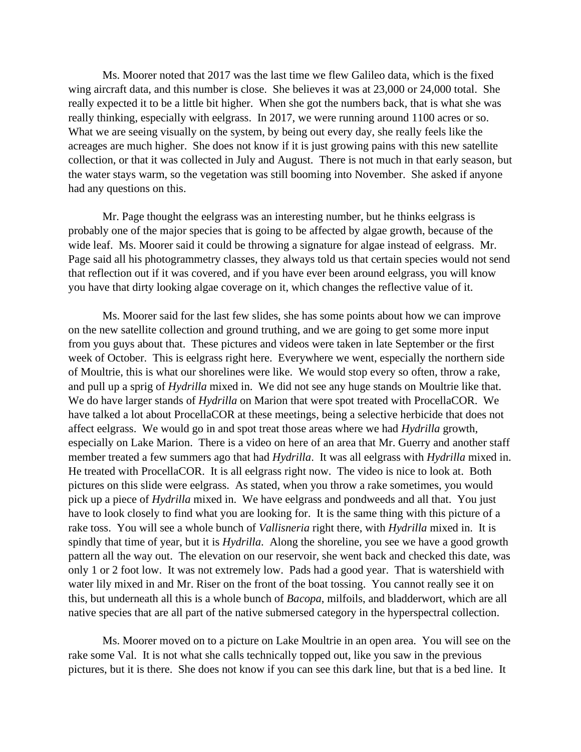Ms. Moorer noted that 2017 was the last time we flew Galileo data, which is the fixed wing aircraft data, and this number is close. She believes it was at 23,000 or 24,000 total. She really expected it to be a little bit higher. When she got the numbers back, that is what she was really thinking, especially with eelgrass. In 2017, we were running around 1100 acres or so. What we are seeing visually on the system, by being out every day, she really feels like the acreages are much higher. She does not know if it is just growing pains with this new satellite collection, or that it was collected in July and August. There is not much in that early season, but the water stays warm, so the vegetation was still booming into November. She asked if anyone had any questions on this.

Mr. Page thought the eelgrass was an interesting number, but he thinks eelgrass is probably one of the major species that is going to be affected by algae growth, because of the wide leaf. Ms. Moorer said it could be throwing a signature for algae instead of eelgrass. Mr. Page said all his photogrammetry classes, they always told us that certain species would not send that reflection out if it was covered, and if you have ever been around eelgrass, you will know you have that dirty looking algae coverage on it, which changes the reflective value of it.

Ms. Moorer said for the last few slides, she has some points about how we can improve on the new satellite collection and ground truthing, and we are going to get some more input from you guys about that. These pictures and videos were taken in late September or the first week of October. This is eelgrass right here. Everywhere we went, especially the northern side of Moultrie, this is what our shorelines were like. We would stop every so often, throw a rake, and pull up a sprig of *Hydrilla* mixed in. We did not see any huge stands on Moultrie like that. We do have larger stands of *Hydrilla* on Marion that were spot treated with ProcellaCOR. We have talked a lot about ProcellaCOR at these meetings, being a selective herbicide that does not affect eelgrass. We would go in and spot treat those areas where we had *Hydrilla* growth, especially on Lake Marion. There is a video on here of an area that Mr. Guerry and another staff member treated a few summers ago that had *Hydrilla*. It was all eelgrass with *Hydrilla* mixed in. He treated with ProcellaCOR. It is all eelgrass right now. The video is nice to look at. Both pictures on this slide were eelgrass. As stated, when you throw a rake sometimes, you would pick up a piece of *Hydrilla* mixed in. We have eelgrass and pondweeds and all that. You just have to look closely to find what you are looking for. It is the same thing with this picture of a rake toss. You will see a whole bunch of *Vallisneria* right there, with *Hydrilla* mixed in. It is spindly that time of year, but it is *Hydrilla*. Along the shoreline, you see we have a good growth pattern all the way out. The elevation on our reservoir, she went back and checked this date, was only 1 or 2 foot low. It was not extremely low. Pads had a good year. That is watershield with water lily mixed in and Mr. Riser on the front of the boat tossing. You cannot really see it on this, but underneath all this is a whole bunch of *Bacopa*, milfoils, and bladderwort, which are all native species that are all part of the native submersed category in the hyperspectral collection.

Ms. Moorer moved on to a picture on Lake Moultrie in an open area. You will see on the rake some Val. It is not what she calls technically topped out, like you saw in the previous pictures, but it is there. She does not know if you can see this dark line, but that is a bed line. It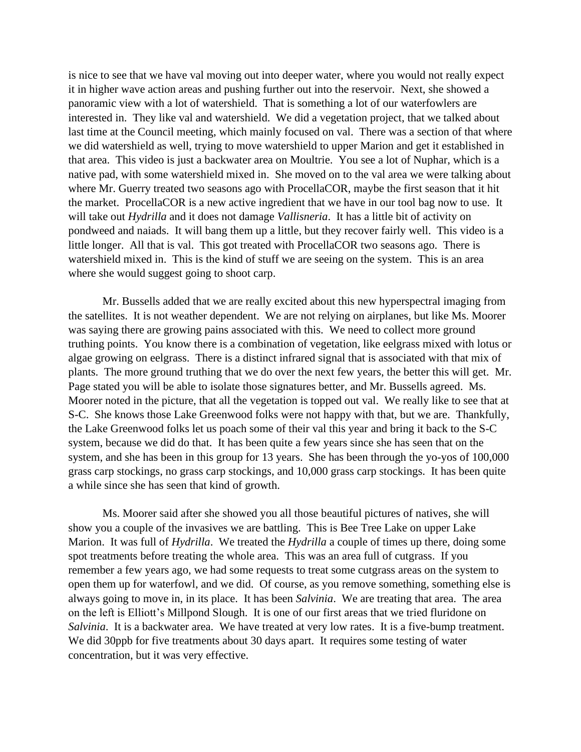is nice to see that we have val moving out into deeper water, where you would not really expect it in higher wave action areas and pushing further out into the reservoir. Next, she showed a panoramic view with a lot of watershield. That is something a lot of our waterfowlers are interested in. They like val and watershield. We did a vegetation project, that we talked about last time at the Council meeting, which mainly focused on val. There was a section of that where we did watershield as well, trying to move watershield to upper Marion and get it established in that area. This video is just a backwater area on Moultrie. You see a lot of Nuphar, which is a native pad, with some watershield mixed in. She moved on to the val area we were talking about where Mr. Guerry treated two seasons ago with ProcellaCOR, maybe the first season that it hit the market. ProcellaCOR is a new active ingredient that we have in our tool bag now to use. It will take out *Hydrilla* and it does not damage *Vallisneria*. It has a little bit of activity on pondweed and naiads. It will bang them up a little, but they recover fairly well. This video is a little longer. All that is val. This got treated with ProcellaCOR two seasons ago. There is watershield mixed in. This is the kind of stuff we are seeing on the system. This is an area where she would suggest going to shoot carp.

Mr. Bussells added that we are really excited about this new hyperspectral imaging from the satellites. It is not weather dependent. We are not relying on airplanes, but like Ms. Moorer was saying there are growing pains associated with this. We need to collect more ground truthing points. You know there is a combination of vegetation, like eelgrass mixed with lotus or algae growing on eelgrass. There is a distinct infrared signal that is associated with that mix of plants. The more ground truthing that we do over the next few years, the better this will get. Mr. Page stated you will be able to isolate those signatures better, and Mr. Bussells agreed. Ms. Moorer noted in the picture, that all the vegetation is topped out val. We really like to see that at S-C. She knows those Lake Greenwood folks were not happy with that, but we are. Thankfully, the Lake Greenwood folks let us poach some of their val this year and bring it back to the S-C system, because we did do that. It has been quite a few years since she has seen that on the system, and she has been in this group for 13 years. She has been through the yo-yos of 100,000 grass carp stockings, no grass carp stockings, and 10,000 grass carp stockings. It has been quite a while since she has seen that kind of growth.

Ms. Moorer said after she showed you all those beautiful pictures of natives, she will show you a couple of the invasives we are battling. This is Bee Tree Lake on upper Lake Marion. It was full of *Hydrilla*. We treated the *Hydrilla* a couple of times up there, doing some spot treatments before treating the whole area. This was an area full of cutgrass. If you remember a few years ago, we had some requests to treat some cutgrass areas on the system to open them up for waterfowl, and we did. Of course, as you remove something, something else is always going to move in, in its place. It has been *Salvinia*. We are treating that area. The area on the left is Elliott's Millpond Slough. It is one of our first areas that we tried fluridone on *Salvinia*. It is a backwater area. We have treated at very low rates. It is a five-bump treatment. We did 30ppb for five treatments about 30 days apart. It requires some testing of water concentration, but it was very effective.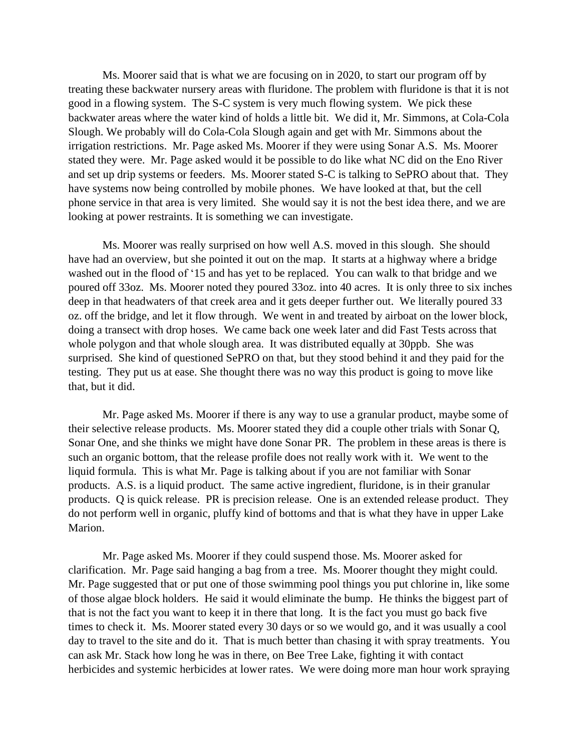Ms. Moorer said that is what we are focusing on in 2020, to start our program off by treating these backwater nursery areas with fluridone. The problem with fluridone is that it is not good in a flowing system. The S-C system is very much flowing system. We pick these backwater areas where the water kind of holds a little bit. We did it, Mr. Simmons, at Cola-Cola Slough. We probably will do Cola-Cola Slough again and get with Mr. Simmons about the irrigation restrictions. Mr. Page asked Ms. Moorer if they were using Sonar A.S. Ms. Moorer stated they were. Mr. Page asked would it be possible to do like what NC did on the Eno River and set up drip systems or feeders. Ms. Moorer stated S-C is talking to SePRO about that. They have systems now being controlled by mobile phones. We have looked at that, but the cell phone service in that area is very limited. She would say it is not the best idea there, and we are looking at power restraints. It is something we can investigate.

Ms. Moorer was really surprised on how well A.S. moved in this slough. She should have had an overview, but she pointed it out on the map. It starts at a highway where a bridge washed out in the flood of '15 and has yet to be replaced. You can walk to that bridge and we poured off 33oz. Ms. Moorer noted they poured 33oz. into 40 acres. It is only three to six inches deep in that headwaters of that creek area and it gets deeper further out. We literally poured 33 oz. off the bridge, and let it flow through. We went in and treated by airboat on the lower block, doing a transect with drop hoses. We came back one week later and did Fast Tests across that whole polygon and that whole slough area. It was distributed equally at 30ppb. She was surprised. She kind of questioned SePRO on that, but they stood behind it and they paid for the testing. They put us at ease. She thought there was no way this product is going to move like that, but it did.

Mr. Page asked Ms. Moorer if there is any way to use a granular product, maybe some of their selective release products. Ms. Moorer stated they did a couple other trials with Sonar Q, Sonar One, and she thinks we might have done Sonar PR. The problem in these areas is there is such an organic bottom, that the release profile does not really work with it. We went to the liquid formula. This is what Mr. Page is talking about if you are not familiar with Sonar products. A.S. is a liquid product. The same active ingredient, fluridone, is in their granular products. Q is quick release. PR is precision release. One is an extended release product. They do not perform well in organic, pluffy kind of bottoms and that is what they have in upper Lake Marion.

Mr. Page asked Ms. Moorer if they could suspend those. Ms. Moorer asked for clarification. Mr. Page said hanging a bag from a tree. Ms. Moorer thought they might could. Mr. Page suggested that or put one of those swimming pool things you put chlorine in, like some of those algae block holders. He said it would eliminate the bump. He thinks the biggest part of that is not the fact you want to keep it in there that long. It is the fact you must go back five times to check it. Ms. Moorer stated every 30 days or so we would go, and it was usually a cool day to travel to the site and do it. That is much better than chasing it with spray treatments. You can ask Mr. Stack how long he was in there, on Bee Tree Lake, fighting it with contact herbicides and systemic herbicides at lower rates. We were doing more man hour work spraying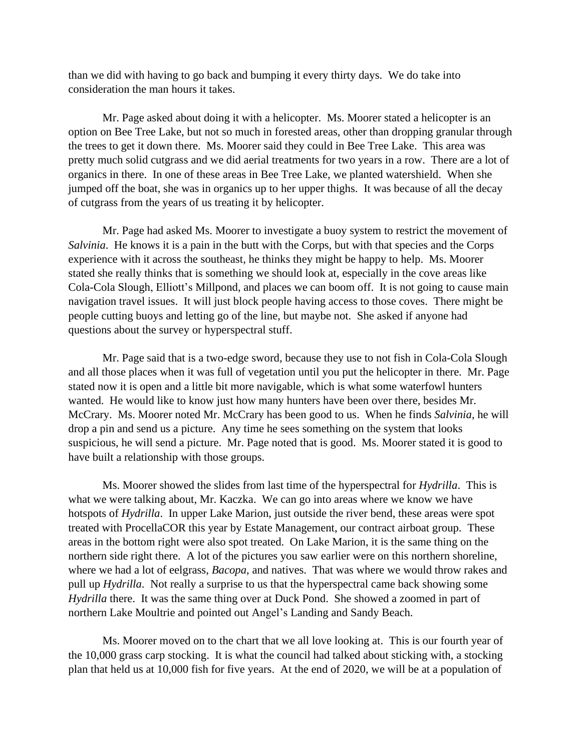than we did with having to go back and bumping it every thirty days. We do take into consideration the man hours it takes.

Mr. Page asked about doing it with a helicopter. Ms. Moorer stated a helicopter is an option on Bee Tree Lake, but not so much in forested areas, other than dropping granular through the trees to get it down there. Ms. Moorer said they could in Bee Tree Lake. This area was pretty much solid cutgrass and we did aerial treatments for two years in a row. There are a lot of organics in there. In one of these areas in Bee Tree Lake, we planted watershield. When she jumped off the boat, she was in organics up to her upper thighs. It was because of all the decay of cutgrass from the years of us treating it by helicopter.

Mr. Page had asked Ms. Moorer to investigate a buoy system to restrict the movement of *Salvinia*. He knows it is a pain in the butt with the Corps, but with that species and the Corps experience with it across the southeast, he thinks they might be happy to help. Ms. Moorer stated she really thinks that is something we should look at, especially in the cove areas like Cola-Cola Slough, Elliott's Millpond, and places we can boom off. It is not going to cause main navigation travel issues. It will just block people having access to those coves. There might be people cutting buoys and letting go of the line, but maybe not. She asked if anyone had questions about the survey or hyperspectral stuff.

Mr. Page said that is a two-edge sword, because they use to not fish in Cola-Cola Slough and all those places when it was full of vegetation until you put the helicopter in there. Mr. Page stated now it is open and a little bit more navigable, which is what some waterfowl hunters wanted. He would like to know just how many hunters have been over there, besides Mr. McCrary. Ms. Moorer noted Mr. McCrary has been good to us. When he finds *Salvinia*, he will drop a pin and send us a picture. Any time he sees something on the system that looks suspicious, he will send a picture. Mr. Page noted that is good. Ms. Moorer stated it is good to have built a relationship with those groups.

Ms. Moorer showed the slides from last time of the hyperspectral for *Hydrilla*. This is what we were talking about, Mr. Kaczka. We can go into areas where we know we have hotspots of *Hydrilla*. In upper Lake Marion, just outside the river bend, these areas were spot treated with ProcellaCOR this year by Estate Management, our contract airboat group. These areas in the bottom right were also spot treated. On Lake Marion, it is the same thing on the northern side right there. A lot of the pictures you saw earlier were on this northern shoreline, where we had a lot of eelgrass, *Bacopa*, and natives. That was where we would throw rakes and pull up *Hydrilla*. Not really a surprise to us that the hyperspectral came back showing some *Hydrilla* there. It was the same thing over at Duck Pond. She showed a zoomed in part of northern Lake Moultrie and pointed out Angel's Landing and Sandy Beach.

Ms. Moorer moved on to the chart that we all love looking at. This is our fourth year of the 10,000 grass carp stocking. It is what the council had talked about sticking with, a stocking plan that held us at 10,000 fish for five years. At the end of 2020, we will be at a population of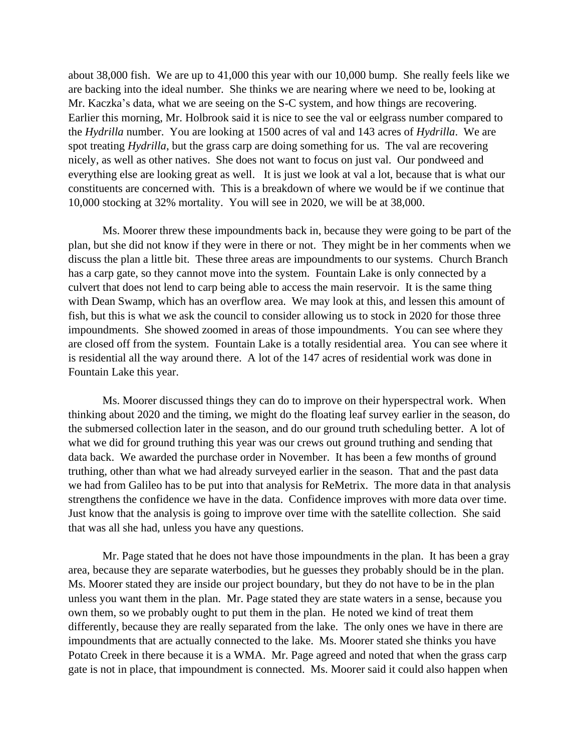about 38,000 fish. We are up to 41,000 this year with our 10,000 bump. She really feels like we are backing into the ideal number. She thinks we are nearing where we need to be, looking at Mr. Kaczka's data, what we are seeing on the S-C system, and how things are recovering. Earlier this morning, Mr. Holbrook said it is nice to see the val or eelgrass number compared to the *Hydrilla* number. You are looking at 1500 acres of val and 143 acres of *Hydrilla*. We are spot treating *Hydrilla*, but the grass carp are doing something for us. The val are recovering nicely, as well as other natives. She does not want to focus on just val. Our pondweed and everything else are looking great as well. It is just we look at val a lot, because that is what our constituents are concerned with. This is a breakdown of where we would be if we continue that 10,000 stocking at 32% mortality. You will see in 2020, we will be at 38,000.

Ms. Moorer threw these impoundments back in, because they were going to be part of the plan, but she did not know if they were in there or not. They might be in her comments when we discuss the plan a little bit. These three areas are impoundments to our systems. Church Branch has a carp gate, so they cannot move into the system. Fountain Lake is only connected by a culvert that does not lend to carp being able to access the main reservoir. It is the same thing with Dean Swamp, which has an overflow area. We may look at this, and lessen this amount of fish, but this is what we ask the council to consider allowing us to stock in 2020 for those three impoundments. She showed zoomed in areas of those impoundments. You can see where they are closed off from the system. Fountain Lake is a totally residential area. You can see where it is residential all the way around there. A lot of the 147 acres of residential work was done in Fountain Lake this year.

Ms. Moorer discussed things they can do to improve on their hyperspectral work. When thinking about 2020 and the timing, we might do the floating leaf survey earlier in the season, do the submersed collection later in the season, and do our ground truth scheduling better. A lot of what we did for ground truthing this year was our crews out ground truthing and sending that data back. We awarded the purchase order in November. It has been a few months of ground truthing, other than what we had already surveyed earlier in the season. That and the past data we had from Galileo has to be put into that analysis for ReMetrix. The more data in that analysis strengthens the confidence we have in the data. Confidence improves with more data over time. Just know that the analysis is going to improve over time with the satellite collection. She said that was all she had, unless you have any questions.

Mr. Page stated that he does not have those impoundments in the plan. It has been a gray area, because they are separate waterbodies, but he guesses they probably should be in the plan. Ms. Moorer stated they are inside our project boundary, but they do not have to be in the plan unless you want them in the plan. Mr. Page stated they are state waters in a sense, because you own them, so we probably ought to put them in the plan. He noted we kind of treat them differently, because they are really separated from the lake. The only ones we have in there are impoundments that are actually connected to the lake. Ms. Moorer stated she thinks you have Potato Creek in there because it is a WMA. Mr. Page agreed and noted that when the grass carp gate is not in place, that impoundment is connected. Ms. Moorer said it could also happen when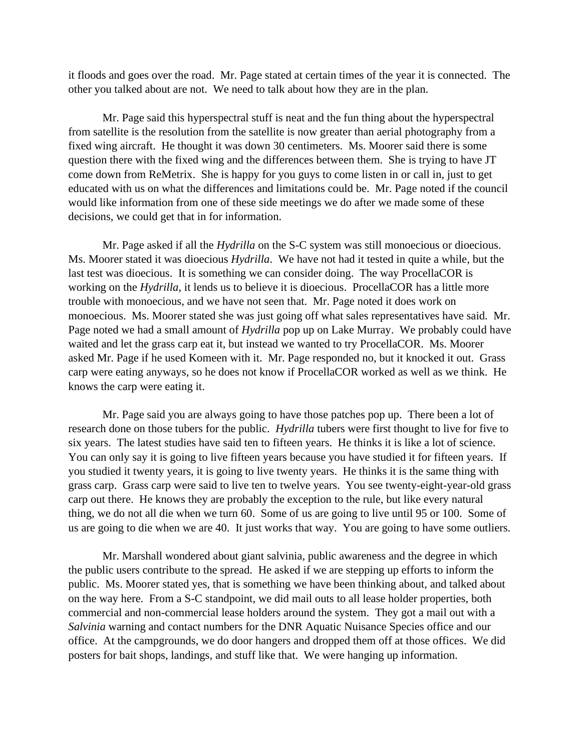it floods and goes over the road. Mr. Page stated at certain times of the year it is connected. The other you talked about are not. We need to talk about how they are in the plan.

Mr. Page said this hyperspectral stuff is neat and the fun thing about the hyperspectral from satellite is the resolution from the satellite is now greater than aerial photography from a fixed wing aircraft. He thought it was down 30 centimeters. Ms. Moorer said there is some question there with the fixed wing and the differences between them. She is trying to have JT come down from ReMetrix. She is happy for you guys to come listen in or call in, just to get educated with us on what the differences and limitations could be. Mr. Page noted if the council would like information from one of these side meetings we do after we made some of these decisions, we could get that in for information.

Mr. Page asked if all the *Hydrilla* on the S-C system was still monoecious or dioecious. Ms. Moorer stated it was dioecious *Hydrilla*. We have not had it tested in quite a while, but the last test was dioecious. It is something we can consider doing. The way ProcellaCOR is working on the *Hydrilla*, it lends us to believe it is dioecious. ProcellaCOR has a little more trouble with monoecious, and we have not seen that. Mr. Page noted it does work on monoecious. Ms. Moorer stated she was just going off what sales representatives have said. Mr. Page noted we had a small amount of *Hydrilla* pop up on Lake Murray. We probably could have waited and let the grass carp eat it, but instead we wanted to try ProcellaCOR. Ms. Moorer asked Mr. Page if he used Komeen with it. Mr. Page responded no, but it knocked it out. Grass carp were eating anyways, so he does not know if ProcellaCOR worked as well as we think. He knows the carp were eating it.

Mr. Page said you are always going to have those patches pop up. There been a lot of research done on those tubers for the public. *Hydrilla* tubers were first thought to live for five to six years. The latest studies have said ten to fifteen years. He thinks it is like a lot of science. You can only say it is going to live fifteen years because you have studied it for fifteen years. If you studied it twenty years, it is going to live twenty years. He thinks it is the same thing with grass carp. Grass carp were said to live ten to twelve years. You see twenty-eight-year-old grass carp out there. He knows they are probably the exception to the rule, but like every natural thing, we do not all die when we turn 60. Some of us are going to live until 95 or 100. Some of us are going to die when we are 40. It just works that way. You are going to have some outliers.

Mr. Marshall wondered about giant salvinia, public awareness and the degree in which the public users contribute to the spread. He asked if we are stepping up efforts to inform the public. Ms. Moorer stated yes, that is something we have been thinking about, and talked about on the way here. From a S-C standpoint, we did mail outs to all lease holder properties, both commercial and non-commercial lease holders around the system. They got a mail out with a *Salvinia* warning and contact numbers for the DNR Aquatic Nuisance Species office and our office. At the campgrounds, we do door hangers and dropped them off at those offices. We did posters for bait shops, landings, and stuff like that. We were hanging up information.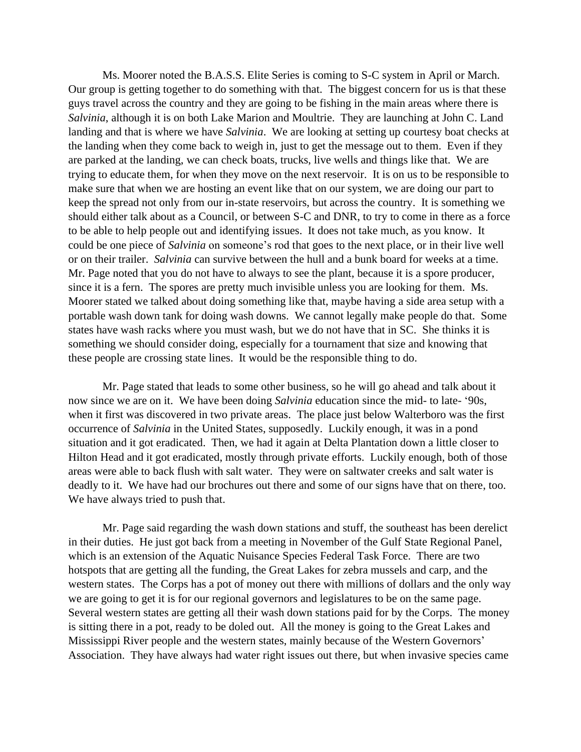Ms. Moorer noted the B.A.S.S. Elite Series is coming to S-C system in April or March. Our group is getting together to do something with that. The biggest concern for us is that these guys travel across the country and they are going to be fishing in the main areas where there is *Salvinia*, although it is on both Lake Marion and Moultrie. They are launching at John C. Land landing and that is where we have *Salvinia*. We are looking at setting up courtesy boat checks at the landing when they come back to weigh in, just to get the message out to them. Even if they are parked at the landing, we can check boats, trucks, live wells and things like that. We are trying to educate them, for when they move on the next reservoir. It is on us to be responsible to make sure that when we are hosting an event like that on our system, we are doing our part to keep the spread not only from our in-state reservoirs, but across the country. It is something we should either talk about as a Council, or between S-C and DNR, to try to come in there as a force to be able to help people out and identifying issues. It does not take much, as you know. It could be one piece of *Salvinia* on someone's rod that goes to the next place, or in their live well or on their trailer. *Salvinia* can survive between the hull and a bunk board for weeks at a time. Mr. Page noted that you do not have to always to see the plant, because it is a spore producer, since it is a fern. The spores are pretty much invisible unless you are looking for them. Ms. Moorer stated we talked about doing something like that, maybe having a side area setup with a portable wash down tank for doing wash downs. We cannot legally make people do that. Some states have wash racks where you must wash, but we do not have that in SC. She thinks it is something we should consider doing, especially for a tournament that size and knowing that these people are crossing state lines. It would be the responsible thing to do.

Mr. Page stated that leads to some other business, so he will go ahead and talk about it now since we are on it. We have been doing *Salvinia* education since the mid- to late- '90s, when it first was discovered in two private areas. The place just below Walterboro was the first occurrence of *Salvinia* in the United States, supposedly. Luckily enough, it was in a pond situation and it got eradicated. Then, we had it again at Delta Plantation down a little closer to Hilton Head and it got eradicated, mostly through private efforts. Luckily enough, both of those areas were able to back flush with salt water. They were on saltwater creeks and salt water is deadly to it. We have had our brochures out there and some of our signs have that on there, too. We have always tried to push that.

Mr. Page said regarding the wash down stations and stuff, the southeast has been derelict in their duties. He just got back from a meeting in November of the Gulf State Regional Panel, which is an extension of the Aquatic Nuisance Species Federal Task Force. There are two hotspots that are getting all the funding, the Great Lakes for zebra mussels and carp, and the western states. The Corps has a pot of money out there with millions of dollars and the only way we are going to get it is for our regional governors and legislatures to be on the same page. Several western states are getting all their wash down stations paid for by the Corps. The money is sitting there in a pot, ready to be doled out. All the money is going to the Great Lakes and Mississippi River people and the western states, mainly because of the Western Governors' Association. They have always had water right issues out there, but when invasive species came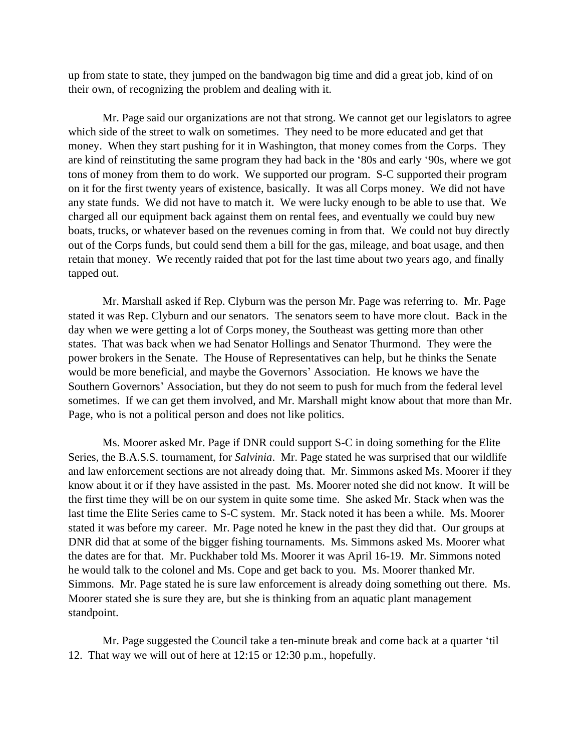up from state to state, they jumped on the bandwagon big time and did a great job, kind of on their own, of recognizing the problem and dealing with it.

Mr. Page said our organizations are not that strong. We cannot get our legislators to agree which side of the street to walk on sometimes. They need to be more educated and get that money. When they start pushing for it in Washington, that money comes from the Corps. They are kind of reinstituting the same program they had back in the '80s and early '90s, where we got tons of money from them to do work. We supported our program. S-C supported their program on it for the first twenty years of existence, basically. It was all Corps money. We did not have any state funds. We did not have to match it. We were lucky enough to be able to use that. We charged all our equipment back against them on rental fees, and eventually we could buy new boats, trucks, or whatever based on the revenues coming in from that. We could not buy directly out of the Corps funds, but could send them a bill for the gas, mileage, and boat usage, and then retain that money. We recently raided that pot for the last time about two years ago, and finally tapped out.

Mr. Marshall asked if Rep. Clyburn was the person Mr. Page was referring to. Mr. Page stated it was Rep. Clyburn and our senators. The senators seem to have more clout. Back in the day when we were getting a lot of Corps money, the Southeast was getting more than other states. That was back when we had Senator Hollings and Senator Thurmond. They were the power brokers in the Senate. The House of Representatives can help, but he thinks the Senate would be more beneficial, and maybe the Governors' Association. He knows we have the Southern Governors' Association, but they do not seem to push for much from the federal level sometimes. If we can get them involved, and Mr. Marshall might know about that more than Mr. Page, who is not a political person and does not like politics.

Ms. Moorer asked Mr. Page if DNR could support S-C in doing something for the Elite Series, the B.A.S.S. tournament, for *Salvinia*. Mr. Page stated he was surprised that our wildlife and law enforcement sections are not already doing that. Mr. Simmons asked Ms. Moorer if they know about it or if they have assisted in the past. Ms. Moorer noted she did not know. It will be the first time they will be on our system in quite some time. She asked Mr. Stack when was the last time the Elite Series came to S-C system. Mr. Stack noted it has been a while. Ms. Moorer stated it was before my career. Mr. Page noted he knew in the past they did that. Our groups at DNR did that at some of the bigger fishing tournaments. Ms. Simmons asked Ms. Moorer what the dates are for that. Mr. Puckhaber told Ms. Moorer it was April 16-19. Mr. Simmons noted he would talk to the colonel and Ms. Cope and get back to you. Ms. Moorer thanked Mr. Simmons. Mr. Page stated he is sure law enforcement is already doing something out there. Ms. Moorer stated she is sure they are, but she is thinking from an aquatic plant management standpoint.

Mr. Page suggested the Council take a ten-minute break and come back at a quarter 'til 12. That way we will out of here at 12:15 or 12:30 p.m., hopefully.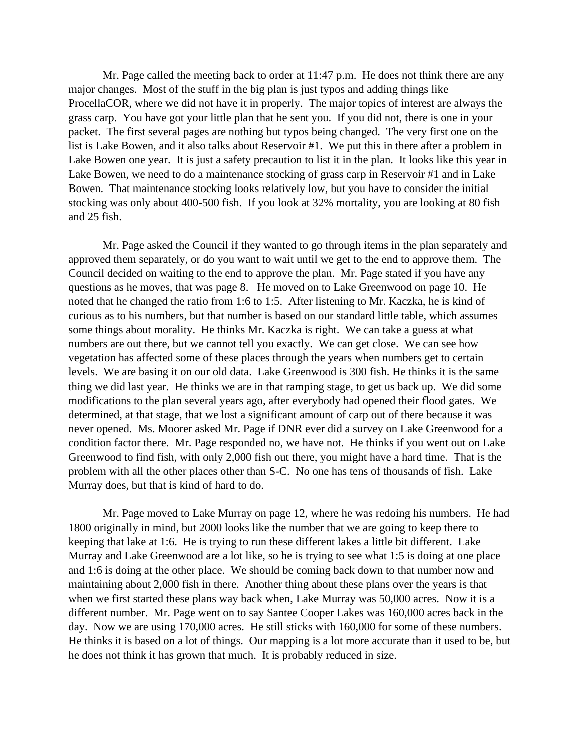Mr. Page called the meeting back to order at 11:47 p.m. He does not think there are any major changes. Most of the stuff in the big plan is just typos and adding things like ProcellaCOR, where we did not have it in properly. The major topics of interest are always the grass carp. You have got your little plan that he sent you. If you did not, there is one in your packet. The first several pages are nothing but typos being changed. The very first one on the list is Lake Bowen, and it also talks about Reservoir #1. We put this in there after a problem in Lake Bowen one year. It is just a safety precaution to list it in the plan. It looks like this year in Lake Bowen, we need to do a maintenance stocking of grass carp in Reservoir #1 and in Lake Bowen. That maintenance stocking looks relatively low, but you have to consider the initial stocking was only about 400-500 fish. If you look at 32% mortality, you are looking at 80 fish and 25 fish.

Mr. Page asked the Council if they wanted to go through items in the plan separately and approved them separately, or do you want to wait until we get to the end to approve them. The Council decided on waiting to the end to approve the plan. Mr. Page stated if you have any questions as he moves, that was page 8. He moved on to Lake Greenwood on page 10. He noted that he changed the ratio from 1:6 to 1:5. After listening to Mr. Kaczka, he is kind of curious as to his numbers, but that number is based on our standard little table, which assumes some things about morality. He thinks Mr. Kaczka is right. We can take a guess at what numbers are out there, but we cannot tell you exactly. We can get close. We can see how vegetation has affected some of these places through the years when numbers get to certain levels. We are basing it on our old data. Lake Greenwood is 300 fish. He thinks it is the same thing we did last year. He thinks we are in that ramping stage, to get us back up. We did some modifications to the plan several years ago, after everybody had opened their flood gates. We determined, at that stage, that we lost a significant amount of carp out of there because it was never opened. Ms. Moorer asked Mr. Page if DNR ever did a survey on Lake Greenwood for a condition factor there. Mr. Page responded no, we have not. He thinks if you went out on Lake Greenwood to find fish, with only 2,000 fish out there, you might have a hard time. That is the problem with all the other places other than S-C. No one has tens of thousands of fish. Lake Murray does, but that is kind of hard to do.

Mr. Page moved to Lake Murray on page 12, where he was redoing his numbers. He had 1800 originally in mind, but 2000 looks like the number that we are going to keep there to keeping that lake at 1:6. He is trying to run these different lakes a little bit different. Lake Murray and Lake Greenwood are a lot like, so he is trying to see what 1:5 is doing at one place and 1:6 is doing at the other place. We should be coming back down to that number now and maintaining about 2,000 fish in there. Another thing about these plans over the years is that when we first started these plans way back when, Lake Murray was 50,000 acres. Now it is a different number. Mr. Page went on to say Santee Cooper Lakes was 160,000 acres back in the day. Now we are using 170,000 acres. He still sticks with 160,000 for some of these numbers. He thinks it is based on a lot of things. Our mapping is a lot more accurate than it used to be, but he does not think it has grown that much. It is probably reduced in size.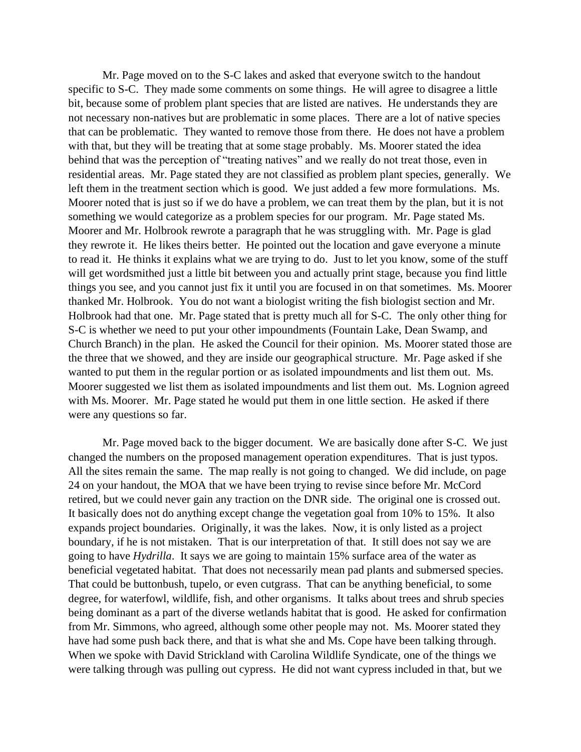Mr. Page moved on to the S-C lakes and asked that everyone switch to the handout specific to S-C. They made some comments on some things. He will agree to disagree a little bit, because some of problem plant species that are listed are natives. He understands they are not necessary non-natives but are problematic in some places. There are a lot of native species that can be problematic. They wanted to remove those from there. He does not have a problem with that, but they will be treating that at some stage probably. Ms. Moorer stated the idea behind that was the perception of "treating natives" and we really do not treat those, even in residential areas. Mr. Page stated they are not classified as problem plant species, generally. We left them in the treatment section which is good. We just added a few more formulations. Ms. Moorer noted that is just so if we do have a problem, we can treat them by the plan, but it is not something we would categorize as a problem species for our program. Mr. Page stated Ms. Moorer and Mr. Holbrook rewrote a paragraph that he was struggling with. Mr. Page is glad they rewrote it. He likes theirs better. He pointed out the location and gave everyone a minute to read it. He thinks it explains what we are trying to do. Just to let you know, some of the stuff will get wordsmithed just a little bit between you and actually print stage, because you find little things you see, and you cannot just fix it until you are focused in on that sometimes. Ms. Moorer thanked Mr. Holbrook. You do not want a biologist writing the fish biologist section and Mr. Holbrook had that one. Mr. Page stated that is pretty much all for S-C. The only other thing for S-C is whether we need to put your other impoundments (Fountain Lake, Dean Swamp, and Church Branch) in the plan. He asked the Council for their opinion. Ms. Moorer stated those are the three that we showed, and they are inside our geographical structure. Mr. Page asked if she wanted to put them in the regular portion or as isolated impoundments and list them out. Ms. Moorer suggested we list them as isolated impoundments and list them out. Ms. Lognion agreed with Ms. Moorer. Mr. Page stated he would put them in one little section. He asked if there were any questions so far.

Mr. Page moved back to the bigger document. We are basically done after S-C. We just changed the numbers on the proposed management operation expenditures. That is just typos. All the sites remain the same. The map really is not going to changed. We did include, on page 24 on your handout, the MOA that we have been trying to revise since before Mr. McCord retired, but we could never gain any traction on the DNR side. The original one is crossed out. It basically does not do anything except change the vegetation goal from 10% to 15%. It also expands project boundaries. Originally, it was the lakes. Now, it is only listed as a project boundary, if he is not mistaken. That is our interpretation of that. It still does not say we are going to have *Hydrilla*. It says we are going to maintain 15% surface area of the water as beneficial vegetated habitat. That does not necessarily mean pad plants and submersed species. That could be buttonbush, tupelo, or even cutgrass. That can be anything beneficial, to some degree, for waterfowl, wildlife, fish, and other organisms. It talks about trees and shrub species being dominant as a part of the diverse wetlands habitat that is good. He asked for confirmation from Mr. Simmons, who agreed, although some other people may not. Ms. Moorer stated they have had some push back there, and that is what she and Ms. Cope have been talking through. When we spoke with David Strickland with Carolina Wildlife Syndicate, one of the things we were talking through was pulling out cypress. He did not want cypress included in that, but we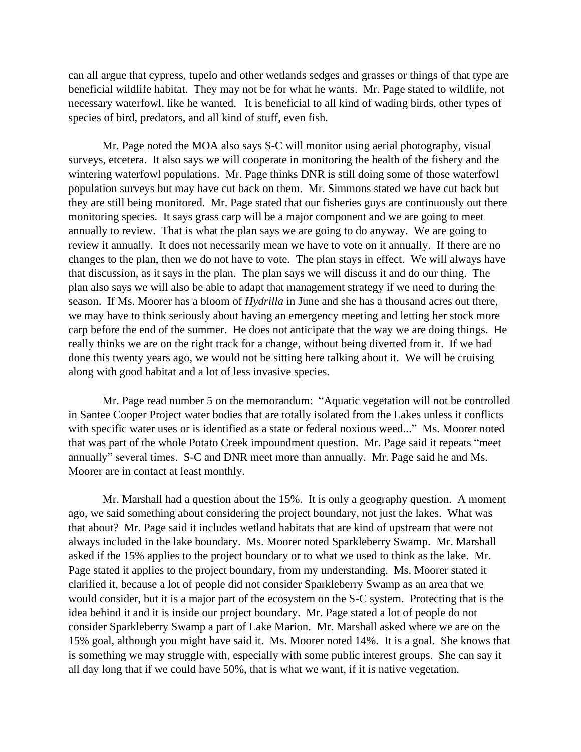can all argue that cypress, tupelo and other wetlands sedges and grasses or things of that type are beneficial wildlife habitat. They may not be for what he wants. Mr. Page stated to wildlife, not necessary waterfowl, like he wanted. It is beneficial to all kind of wading birds, other types of species of bird, predators, and all kind of stuff, even fish.

Mr. Page noted the MOA also says S-C will monitor using aerial photography, visual surveys, etcetera. It also says we will cooperate in monitoring the health of the fishery and the wintering waterfowl populations. Mr. Page thinks DNR is still doing some of those waterfowl population surveys but may have cut back on them. Mr. Simmons stated we have cut back but they are still being monitored. Mr. Page stated that our fisheries guys are continuously out there monitoring species. It says grass carp will be a major component and we are going to meet annually to review. That is what the plan says we are going to do anyway. We are going to review it annually. It does not necessarily mean we have to vote on it annually. If there are no changes to the plan, then we do not have to vote. The plan stays in effect. We will always have that discussion, as it says in the plan. The plan says we will discuss it and do our thing. The plan also says we will also be able to adapt that management strategy if we need to during the season. If Ms. Moorer has a bloom of *Hydrilla* in June and she has a thousand acres out there, we may have to think seriously about having an emergency meeting and letting her stock more carp before the end of the summer. He does not anticipate that the way we are doing things. He really thinks we are on the right track for a change, without being diverted from it. If we had done this twenty years ago, we would not be sitting here talking about it. We will be cruising along with good habitat and a lot of less invasive species.

Mr. Page read number 5 on the memorandum: "Aquatic vegetation will not be controlled in Santee Cooper Project water bodies that are totally isolated from the Lakes unless it conflicts with specific water uses or is identified as a state or federal noxious weed..." Ms. Moorer noted that was part of the whole Potato Creek impoundment question. Mr. Page said it repeats "meet annually" several times. S-C and DNR meet more than annually. Mr. Page said he and Ms. Moorer are in contact at least monthly.

Mr. Marshall had a question about the 15%. It is only a geography question. A moment ago, we said something about considering the project boundary, not just the lakes. What was that about? Mr. Page said it includes wetland habitats that are kind of upstream that were not always included in the lake boundary. Ms. Moorer noted Sparkleberry Swamp. Mr. Marshall asked if the 15% applies to the project boundary or to what we used to think as the lake. Mr. Page stated it applies to the project boundary, from my understanding. Ms. Moorer stated it clarified it, because a lot of people did not consider Sparkleberry Swamp as an area that we would consider, but it is a major part of the ecosystem on the S-C system. Protecting that is the idea behind it and it is inside our project boundary. Mr. Page stated a lot of people do not consider Sparkleberry Swamp a part of Lake Marion. Mr. Marshall asked where we are on the 15% goal, although you might have said it. Ms. Moorer noted 14%. It is a goal. She knows that is something we may struggle with, especially with some public interest groups. She can say it all day long that if we could have 50%, that is what we want, if it is native vegetation.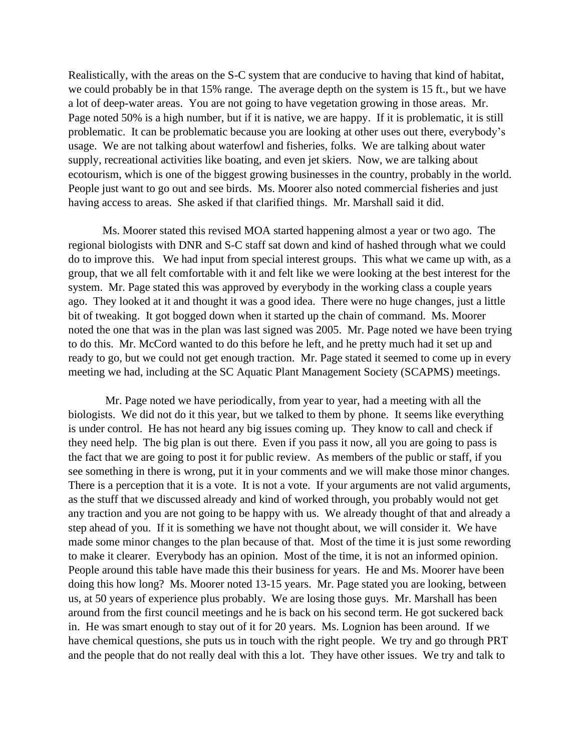Realistically, with the areas on the S-C system that are conducive to having that kind of habitat, we could probably be in that 15% range. The average depth on the system is 15 ft., but we have a lot of deep-water areas. You are not going to have vegetation growing in those areas. Mr. Page noted 50% is a high number, but if it is native, we are happy. If it is problematic, it is still problematic. It can be problematic because you are looking at other uses out there, everybody's usage. We are not talking about waterfowl and fisheries, folks. We are talking about water supply, recreational activities like boating, and even jet skiers. Now, we are talking about ecotourism, which is one of the biggest growing businesses in the country, probably in the world. People just want to go out and see birds. Ms. Moorer also noted commercial fisheries and just having access to areas. She asked if that clarified things. Mr. Marshall said it did.

Ms. Moorer stated this revised MOA started happening almost a year or two ago. The regional biologists with DNR and S-C staff sat down and kind of hashed through what we could do to improve this. We had input from special interest groups. This what we came up with, as a group, that we all felt comfortable with it and felt like we were looking at the best interest for the system. Mr. Page stated this was approved by everybody in the working class a couple years ago. They looked at it and thought it was a good idea. There were no huge changes, just a little bit of tweaking. It got bogged down when it started up the chain of command. Ms. Moorer noted the one that was in the plan was last signed was 2005. Mr. Page noted we have been trying to do this. Mr. McCord wanted to do this before he left, and he pretty much had it set up and ready to go, but we could not get enough traction. Mr. Page stated it seemed to come up in every meeting we had, including at the SC Aquatic Plant Management Society (SCAPMS) meetings.

Mr. Page noted we have periodically, from year to year, had a meeting with all the biologists. We did not do it this year, but we talked to them by phone. It seems like everything is under control. He has not heard any big issues coming up. They know to call and check if they need help. The big plan is out there. Even if you pass it now, all you are going to pass is the fact that we are going to post it for public review. As members of the public or staff, if you see something in there is wrong, put it in your comments and we will make those minor changes. There is a perception that it is a vote. It is not a vote. If your arguments are not valid arguments, as the stuff that we discussed already and kind of worked through, you probably would not get any traction and you are not going to be happy with us. We already thought of that and already a step ahead of you. If it is something we have not thought about, we will consider it. We have made some minor changes to the plan because of that. Most of the time it is just some rewording to make it clearer. Everybody has an opinion. Most of the time, it is not an informed opinion. People around this table have made this their business for years. He and Ms. Moorer have been doing this how long? Ms. Moorer noted 13-15 years. Mr. Page stated you are looking, between us, at 50 years of experience plus probably. We are losing those guys. Mr. Marshall has been around from the first council meetings and he is back on his second term. He got suckered back in. He was smart enough to stay out of it for 20 years. Ms. Lognion has been around. If we have chemical questions, she puts us in touch with the right people. We try and go through PRT and the people that do not really deal with this a lot. They have other issues. We try and talk to